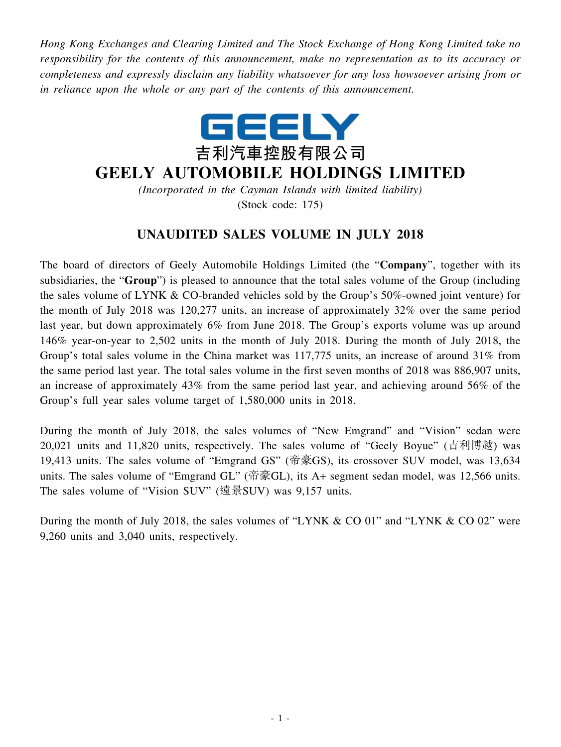*Hong Kong Exchanges and Clearing Limited and The Stock Exchange of Hong Kong Limited take no responsibility for the contents of this announcement, make no representation as to its accuracy or completeness and expressly disclaim any liability whatsoever for any loss howsoever arising from or in reliance upon the whole or any part of the contents of this announcement.*



## **GEELY AUTOMOBILE HOLDINGS LIMITED**

*(Incorporated in the Cayman Islands with limited liability)* (Stock code: 175)

## **UNAUDITED SALES VOLUME IN JULY 2018**

The board of directors of Geely Automobile Holdings Limited (the "**Company**", together with its subsidiaries, the "**Group**") is pleased to announce that the total sales volume of the Group (including the sales volume of LYNK & CO-branded vehicles sold by the Group's 50%-owned joint venture) for the month of July 2018 was 120,277 units, an increase of approximately 32% over the same period last year, but down approximately 6% from June 2018. The Group's exports volume was up around 146% year-on-year to 2,502 units in the month of July 2018. During the month of July 2018, the Group's total sales volume in the China market was 117,775 units, an increase of around 31% from the same period last year. The total sales volume in the first seven months of 2018 was 886,907 units, an increase of approximately 43% from the same period last year, and achieving around 56% of the Group's full year sales volume target of 1,580,000 units in 2018.

During the month of July 2018, the sales volumes of "New Emgrand" and "Vision" sedan were 20,021 units and 11,820 units, respectively. The sales volume of "Geely Boyue" (吉利博越) was 19,413 units. The sales volume of "Emgrand GS" (帝豪GS), its crossover SUV model, was 13,634 units. The sales volume of "Emgrand GL" (帝豪GL), its A+ segment sedan model, was 12,566 units. The sales volume of "Vision SUV" (遠景SUV) was 9,157 units.

During the month of July 2018, the sales volumes of "LYNK & CO 01" and "LYNK & CO 02" were 9,260 units and 3,040 units, respectively.